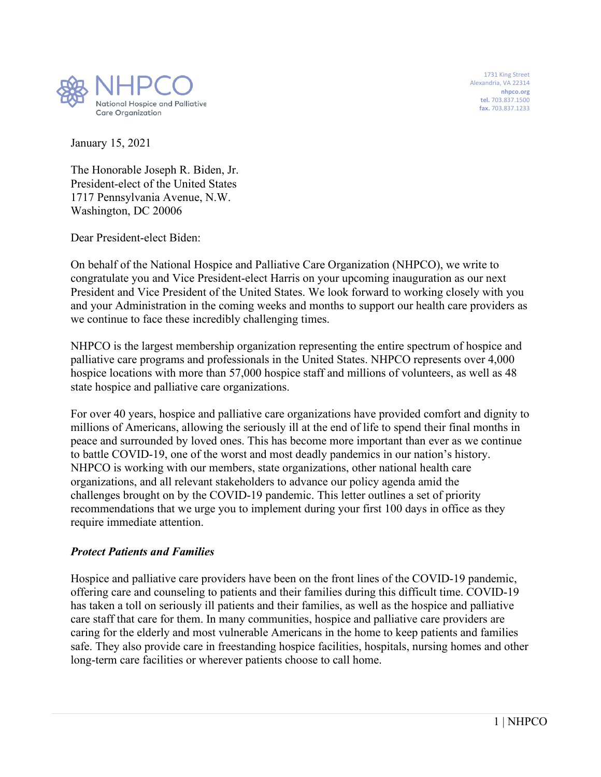

 1731 King Street Alexandria, VA 22314 **nhpco.org tel.** 703.837.1500 **fax.** 703.837.1233

January 15, 2021

The Honorable Joseph R. Biden, Jr. President-elect of the United States 1717 Pennsylvania Avenue, N.W. Washington, DC 20006

Dear President-elect Biden:

On behalf of the National Hospice and Palliative Care Organization (NHPCO), we write to congratulate you and Vice President-elect Harris on your upcoming inauguration as our next President and Vice President of the United States. We look forward to working closely with you and your Administration in the coming weeks and months to support our health care providers as we continue to face these incredibly challenging times.

NHPCO is the largest membership organization representing the entire spectrum of hospice and palliative care programs and professionals in the United States. NHPCO represents over 4,000 hospice locations with more than 57,000 hospice staff and millions of volunteers, as well as 48 state hospice and palliative care organizations.

For over 40 years, hospice and palliative care organizations have provided comfort and dignity to millions of Americans, allowing the seriously ill at the end of life to spend their final months in peace and surrounded by loved ones. This has become more important than ever as we continue to battle COVID-19, one of the worst and most deadly pandemics in our nation's history. NHPCO is working with our members, state organizations, other national health care organizations, and all relevant stakeholders to advance our policy agenda amid the challenges brought on by the COVID-19 pandemic. This letter outlines a set of priority recommendations that we urge you to implement during your first 100 days in office as they require immediate attention.

### *Protect Patients and Families*

Hospice and palliative care providers have been on the front lines of the COVID-19 pandemic, offering care and counseling to patients and their families during this difficult time. COVID-19 has taken a toll on seriously ill patients and their families, as well as the hospice and palliative care staff that care for them. In many communities, hospice and palliative care providers are caring for the elderly and most vulnerable Americans in the home to keep patients and families safe. They also provide care in freestanding hospice facilities, hospitals, nursing homes and other long-term care facilities or wherever patients choose to call home.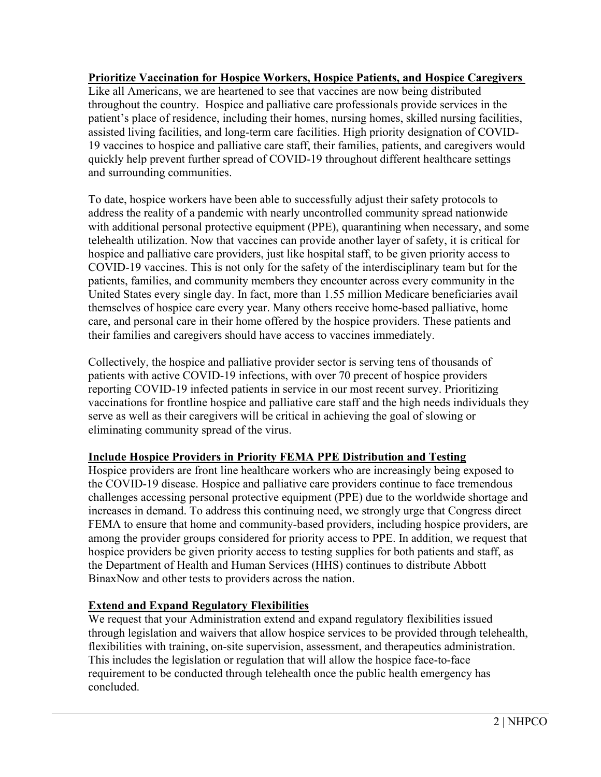### **Prioritize Vaccination for Hospice Workers, Hospice Patients, and Hospice Caregivers**  Like all Americans, we are heartened to see that vaccines are now being distributed throughout the country. Hospice and palliative care professionals provide services in the patient's place of residence, including their homes, nursing homes, skilled nursing facilities, assisted living facilities, and long-term care facilities. High priority designation of COVID-19 vaccines to hospice and palliative care staff, their families, patients, and caregivers would quickly help prevent further spread of COVID-19 throughout different healthcare settings and surrounding communities.

To date, hospice workers have been able to successfully adjust their safety protocols to address the reality of a pandemic with nearly uncontrolled community spread nationwide with additional personal protective equipment (PPE), quarantining when necessary, and some telehealth utilization. Now that vaccines can provide another layer of safety, it is critical for hospice and palliative care providers, just like hospital staff, to be given priority access to COVID-19 vaccines. This is not only for the safety of the interdisciplinary team but for the patients, families, and community members they encounter across every community in the United States every single day. In fact, more than 1.55 million Medicare beneficiaries avail themselves of hospice care every year. Many others receive home-based palliative, home care, and personal care in their home offered by the hospice providers. These patients and their families and caregivers should have access to vaccines immediately.

Collectively, the hospice and palliative provider sector is serving tens of thousands of patients with active COVID-19 infections, with over 70 precent of hospice providers reporting COVID-19 infected patients in service in our most recent survey. Prioritizing vaccinations for frontline hospice and palliative care staff and the high needs individuals they serve as well as their caregivers will be critical in achieving the goal of slowing or eliminating community spread of the virus.

# **Include Hospice Providers in Priority FEMA PPE Distribution and Testing**

Hospice providers are front line healthcare workers who are increasingly being exposed to the COVID-19 disease. Hospice and palliative care providers continue to face tremendous challenges accessing personal protective equipment (PPE) due to the worldwide shortage and increases in demand. To address this continuing need, we strongly urge that Congress direct FEMA to ensure that home and community-based providers, including hospice providers, are among the provider groups considered for priority access to PPE. In addition, we request that hospice providers be given priority access to testing supplies for both patients and staff, as the Department of Health and Human Services (HHS) continues to distribute Abbott BinaxNow and other tests to providers across the nation.

# **Extend and Expand Regulatory Flexibilities**

We request that your Administration extend and expand regulatory flexibilities issued through legislation and waivers that allow hospice services to be provided through telehealth, flexibilities with training, on-site supervision, assessment, and therapeutics administration. This includes the legislation or regulation that will allow the hospice face-to-face requirement to be conducted through telehealth once the public health emergency has concluded.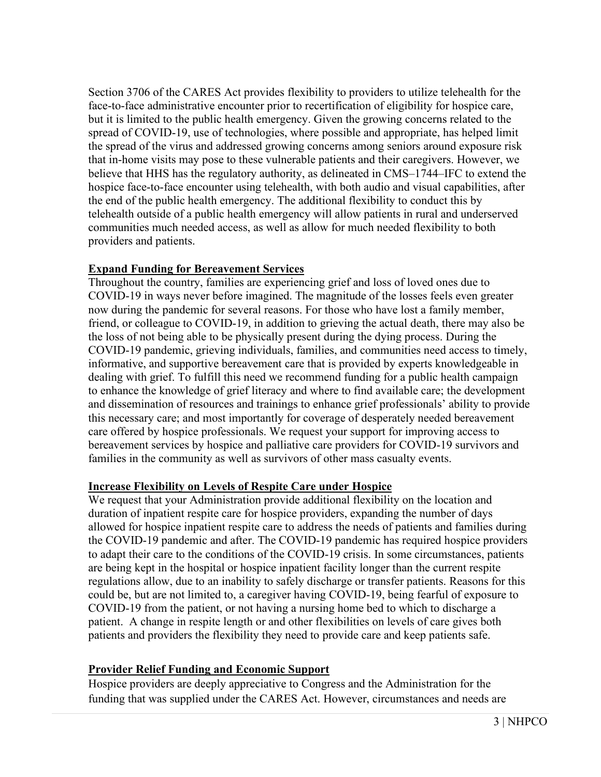Section 3706 of the CARES Act provides flexibility to providers to utilize telehealth for the face-to-face administrative encounter prior to recertification of eligibility for hospice care, but it is limited to the public health emergency. Given the growing concerns related to the spread of COVID-19, use of technologies, where possible and appropriate, has helped limit the spread of the virus and addressed growing concerns among seniors around exposure risk that in-home visits may pose to these vulnerable patients and their caregivers. However, we believe that HHS has the regulatory authority, as delineated in CMS–1744–IFC to extend the hospice face-to-face encounter using telehealth, with both audio and visual capabilities, after the end of the public health emergency. The additional flexibility to conduct this by telehealth outside of a public health emergency will allow patients in rural and underserved communities much needed access, as well as allow for much needed flexibility to both providers and patients.

### **Expand Funding for Bereavement Services**

Throughout the country, families are experiencing grief and loss of loved ones due to COVID-19 in ways never before imagined. The magnitude of the losses feels even greater now during the pandemic for several reasons. For those who have lost a family member, friend, or colleague to COVID-19, in addition to grieving the actual death, there may also be the loss of not being able to be physically present during the dying process. During the COVID-19 pandemic, grieving individuals, families, and communities need access to timely, informative, and supportive bereavement care that is provided by experts knowledgeable in dealing with grief. To fulfill this need we recommend funding for a public health campaign to enhance the knowledge of grief literacy and where to find available care; the development and dissemination of resources and trainings to enhance grief professionals' ability to provide this necessary care; and most importantly for coverage of desperately needed bereavement care offered by hospice professionals. We request your support for improving access to bereavement services by hospice and palliative care providers for COVID-19 survivors and families in the community as well as survivors of other mass casualty events.

#### **Increase Flexibility on Levels of Respite Care under Hospice**

We request that your Administration provide additional flexibility on the location and duration of inpatient respite care for hospice providers, expanding the number of days allowed for hospice inpatient respite care to address the needs of patients and families during the COVID-19 pandemic and after. The COVID-19 pandemic has required hospice providers to adapt their care to the conditions of the COVID-19 crisis. In some circumstances, patients are being kept in the hospital or hospice inpatient facility longer than the current respite regulations allow, due to an inability to safely discharge or transfer patients. Reasons for this could be, but are not limited to, a caregiver having COVID-19, being fearful of exposure to COVID-19 from the patient, or not having a nursing home bed to which to discharge a patient. A change in respite length or and other flexibilities on levels of care gives both patients and providers the flexibility they need to provide care and keep patients safe.

#### **Provider Relief Funding and Economic Support**

Hospice providers are deeply appreciative to Congress and the Administration for the funding that was supplied under the CARES Act. However, circumstances and needs are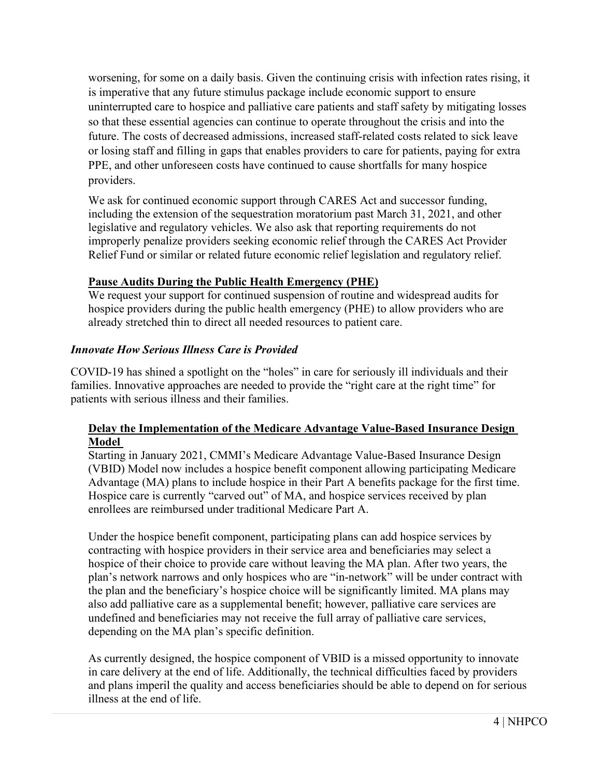worsening, for some on a daily basis. Given the continuing crisis with infection rates rising, it is imperative that any future stimulus package include economic support to ensure uninterrupted care to hospice and palliative care patients and staff safety by mitigating losses so that these essential agencies can continue to operate throughout the crisis and into the future. The costs of decreased admissions, increased staff-related costs related to sick leave or losing staff and filling in gaps that enables providers to care for patients, paying for extra PPE, and other unforeseen costs have continued to cause shortfalls for many hospice providers.

We ask for continued economic support through CARES Act and successor funding, including the extension of the sequestration moratorium past March 31, 2021, and other legislative and regulatory vehicles. We also ask that reporting requirements do not improperly penalize providers seeking economic relief through the CARES Act Provider Relief Fund or similar or related future economic relief legislation and regulatory relief.

## **Pause Audits During the Public Health Emergency (PHE)**

We request your support for continued suspension of routine and widespread audits for hospice providers during the public health emergency (PHE) to allow providers who are already stretched thin to direct all needed resources to patient care.

### *Innovate How Serious Illness Care is Provided*

COVID-19 has shined a spotlight on the "holes" in care for seriously ill individuals and their families. Innovative approaches are needed to provide the "right care at the right time" for patients with serious illness and their families.

### **Delay the Implementation of the Medicare Advantage Value-Based Insurance Design Model**

Starting in January 2021, CMMI's Medicare Advantage Value-Based Insurance Design (VBID) Model now includes a hospice benefit component allowing participating Medicare Advantage (MA) plans to include hospice in their Part A benefits package for the first time. Hospice care is currently "carved out" of MA, and hospice services received by plan enrollees are reimbursed under traditional Medicare Part A.

Under the hospice benefit component, participating plans can add hospice services by contracting with hospice providers in their service area and beneficiaries may select a hospice of their choice to provide care without leaving the MA plan. After two years, the plan's network narrows and only hospices who are "in-network" will be under contract with the plan and the beneficiary's hospice choice will be significantly limited. MA plans may also add palliative care as a supplemental benefit; however, palliative care services are undefined and beneficiaries may not receive the full array of palliative care services, depending on the MA plan's specific definition.

As currently designed, the hospice component of VBID is a missed opportunity to innovate in care delivery at the end of life. Additionally, the technical difficulties faced by providers and plans imperil the quality and access beneficiaries should be able to depend on for serious illness at the end of life.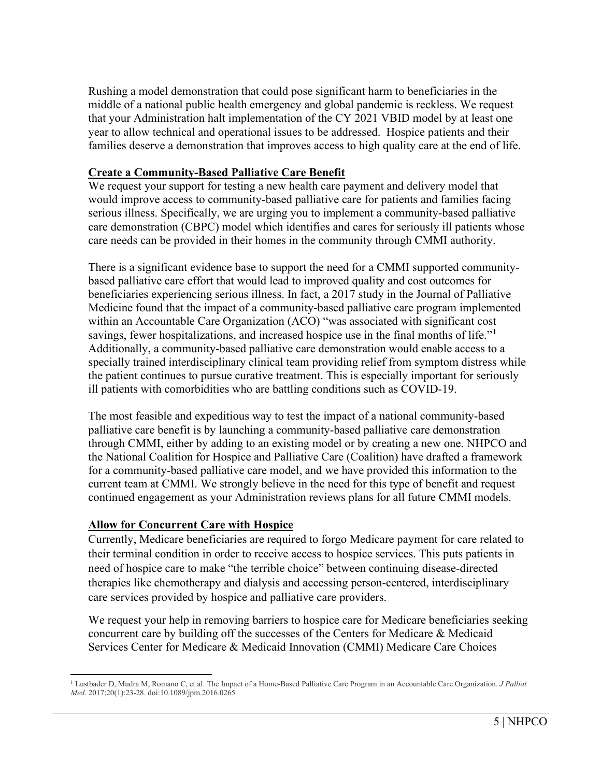Rushing a model demonstration that could pose significant harm to beneficiaries in the middle of a national public health emergency and global pandemic is reckless. We request that your Administration halt implementation of the CY 2021 VBID model by at least one year to allow technical and operational issues to be addressed. Hospice patients and their families deserve a demonstration that improves access to high quality care at the end of life.

### **Create a Community-Based Palliative Care Benefit**

We request your support for testing a new health care payment and delivery model that would improve access to community-based palliative care for patients and families facing serious illness. Specifically, we are urging you to implement a community-based palliative care demonstration (CBPC) model which identifies and cares for seriously ill patients whose care needs can be provided in their homes in the community through CMMI authority.

There is a significant evidence base to support the need for a CMMI supported communitybased palliative care effort that would lead to improved quality and cost outcomes for beneficiaries experiencing serious illness. In fact, a 2017 study in the Journal of Palliative Medicine found that the impact of a community-based palliative care program implemented within an Accountable Care Organization (ACO) "was associated with significant cost savings, fewer hospitalizations, and increased hospice use in the final months of life."<sup>[1](#page-4-0)</sup> Additionally, a community-based palliative care demonstration would enable access to a specially trained interdisciplinary clinical team providing relief from symptom distress while the patient continues to pursue curative treatment. This is especially important for seriously ill patients with comorbidities who are battling conditions such as COVID-19.

The most feasible and expeditious way to test the impact of a national community-based palliative care benefit is by launching a community-based palliative care demonstration through CMMI, either by adding to an existing model or by creating a new one. NHPCO and the National Coalition for Hospice and Palliative Care (Coalition) have drafted a framework for a community-based palliative care model, and we have provided this information to the current team at CMMI. We strongly believe in the need for this type of benefit and request continued engagement as your Administration reviews plans for all future CMMI models.

### **Allow for Concurrent Care with Hospice**

Currently, Medicare beneficiaries are required to forgo Medicare payment for care related to their terminal condition in order to receive access to hospice services. This puts patients in need of hospice care to make "the terrible choice" between continuing disease-directed therapies like chemotherapy and dialysis and accessing person-centered, interdisciplinary care services provided by hospice and palliative care providers.

We request your help in removing barriers to hospice care for Medicare beneficiaries seeking concurrent care by building off the successes of the Centers for Medicare & Medicaid Services Center for Medicare & Medicaid Innovation (CMMI) Medicare Care Choices

<span id="page-4-0"></span><sup>1</sup> Lustbader D, Mudra M, Romano C, et al. The Impact of a Home-Based Palliative Care Program in an Accountable Care Organization. *J Palliat Med*. 2017;20(1):23-28. doi:10.1089/jpm.2016.0265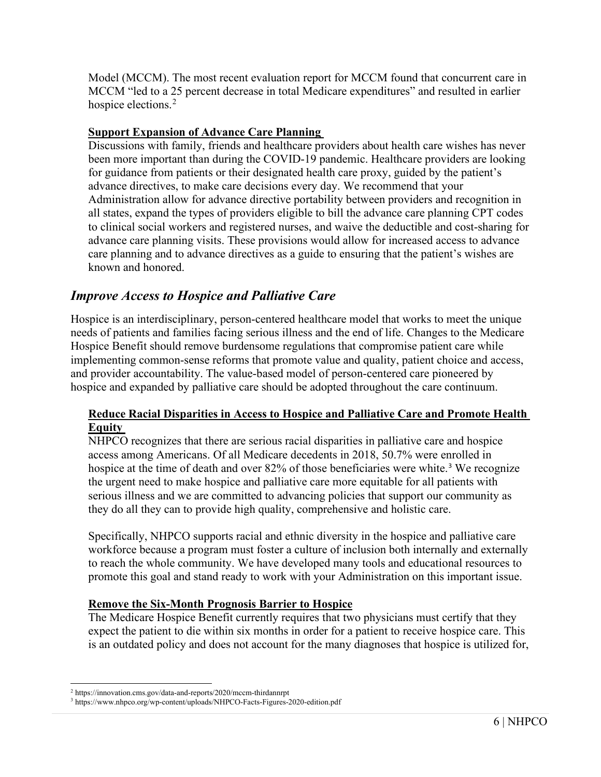Model (MCCM). The most recent evaluation report for MCCM found that concurrent care in MCCM "led to a 25 percent decrease in total Medicare expenditures" and resulted in earlier hospice elections.<sup>[2](#page-5-0)</sup>

#### **Support Expansion of Advance Care Planning**

Discussions with family, friends and healthcare providers about health care wishes has never been more important than during the COVID-19 pandemic. Healthcare providers are looking for guidance from patients or their designated health care proxy, guided by the patient's advance directives, to make care decisions every day. We recommend that your Administration allow for advance directive portability between providers and recognition in all states, expand the types of providers eligible to bill the advance care planning CPT codes to clinical social workers and registered nurses, and waive the deductible and cost-sharing for advance care planning visits. These provisions would allow for increased access to advance care planning and to advance directives as a guide to ensuring that the patient's wishes are known and honored.

# *Improve Access to Hospice and Palliative Care*

Hospice is an interdisciplinary, person-centered healthcare model that works to meet the unique needs of patients and families facing serious illness and the end of life. Changes to the Medicare Hospice Benefit should remove burdensome regulations that compromise patient care while implementing common-sense reforms that promote value and quality, patient choice and access, and provider accountability. The value-based model of person-centered care pioneered by hospice and expanded by palliative care should be adopted throughout the care continuum.

### **Reduce Racial Disparities in Access to Hospice and Palliative Care and Promote Health Equity**

NHPCO recognizes that there are serious racial disparities in palliative care and hospice access among Americans. Of all Medicare decedents in 2018, 50.7% were enrolled in hospice at the time of death and over 82% of those beneficiaries were white.<sup>[3](#page-5-1)</sup> We recognize the urgent need to make hospice and palliative care more equitable for all patients with serious illness and we are committed to advancing policies that support our community as they do all they can to provide high quality, comprehensive and holistic care.

Specifically, NHPCO supports racial and ethnic diversity in the hospice and palliative care workforce because a program must foster a culture of inclusion both internally and externally to reach the whole community. We have developed many tools and educational resources to promote this goal and stand ready to work with your Administration on this important issue.

### **Remove the Six-Month Prognosis Barrier to Hospice**

The Medicare Hospice Benefit currently requires that two physicians must certify that they expect the patient to die within six months in order for a patient to receive hospice care. This is an outdated policy and does not account for the many diagnoses that hospice is utilized for,

<sup>2</sup> https://innovation.cms.gov/data-and-reports/2020/mccm-thirdannrpt

<span id="page-5-1"></span><span id="page-5-0"></span><sup>3</sup> https://www.nhpco.org/wp-content/uploads/NHPCO-Facts-Figures-2020-edition.pdf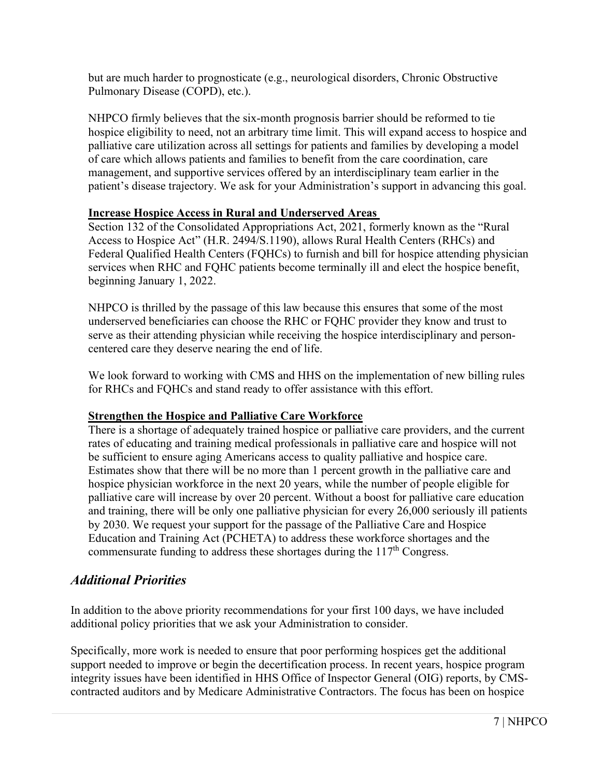but are much harder to prognosticate (e.g., neurological disorders, Chronic Obstructive Pulmonary Disease (COPD), etc.).

NHPCO firmly believes that the six-month prognosis barrier should be reformed to tie hospice eligibility to need, not an arbitrary time limit. This will expand access to hospice and palliative care utilization across all settings for patients and families by developing a model of care which allows patients and families to benefit from the care coordination, care management, and supportive services offered by an interdisciplinary team earlier in the patient's disease trajectory. We ask for your Administration's support in advancing this goal.

### **Increase Hospice Access in Rural and Underserved Areas**

Section 132 of the Consolidated Appropriations Act, 2021, formerly known as the "Rural Access to Hospice Act" (H.R. 2494/S.1190), allows Rural Health Centers (RHCs) and Federal Qualified Health Centers (FQHCs) to furnish and bill for hospice attending physician services when RHC and FQHC patients become terminally ill and elect the hospice benefit, beginning January 1, 2022.

NHPCO is thrilled by the passage of this law because this ensures that some of the most underserved beneficiaries can choose the RHC or FQHC provider they know and trust to serve as their attending physician while receiving the hospice interdisciplinary and personcentered care they deserve nearing the end of life.

We look forward to working with CMS and HHS on the implementation of new billing rules for RHCs and FQHCs and stand ready to offer assistance with this effort.

### **Strengthen the Hospice and Palliative Care Workforce**

There is a shortage of adequately trained hospice or palliative care providers, and the current rates of educating and training medical professionals in palliative care and hospice will not be sufficient to ensure aging Americans access to quality palliative and hospice care. Estimates show that there will be no more than 1 percent growth in the palliative care and hospice physician workforce in the next 20 years, while the number of people eligible for palliative care will increase by over 20 percent. Without a boost for palliative care education and training, there will be only one palliative physician for every 26,000 seriously ill patients by 2030. We request your support for the passage of the Palliative Care and Hospice Education and Training Act (PCHETA) to address these workforce shortages and the commensurate funding to address these shortages during the  $117<sup>th</sup>$  Congress.

# *Additional Priorities*

In addition to the above priority recommendations for your first 100 days, we have included additional policy priorities that we ask your Administration to consider.

Specifically, more work is needed to ensure that poor performing hospices get the additional support needed to improve or begin the decertification process. In recent years, hospice program integrity issues have been identified in HHS Office of Inspector General (OIG) reports, by CMScontracted auditors and by Medicare Administrative Contractors. The focus has been on hospice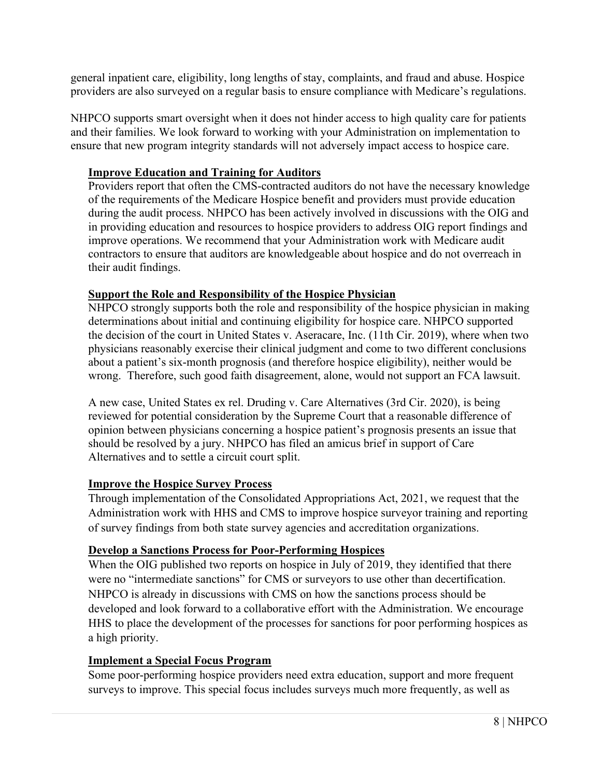general inpatient care, eligibility, long lengths of stay, complaints, and fraud and abuse. Hospice providers are also surveyed on a regular basis to ensure compliance with Medicare's regulations.

NHPCO supports smart oversight when it does not hinder access to high quality care for patients and their families. We look forward to working with your Administration on implementation to ensure that new program integrity standards will not adversely impact access to hospice care.

## **Improve Education and Training for Auditors**

Providers report that often the CMS-contracted auditors do not have the necessary knowledge of the requirements of the Medicare Hospice benefit and providers must provide education during the audit process. NHPCO has been actively involved in discussions with the OIG and in providing education and resources to hospice providers to address OIG report findings and improve operations. We recommend that your Administration work with Medicare audit contractors to ensure that auditors are knowledgeable about hospice and do not overreach in their audit findings.

## **Support the Role and Responsibility of the Hospice Physician**

NHPCO strongly supports both the role and responsibility of the hospice physician in making determinations about initial and continuing eligibility for hospice care. NHPCO supported the decision of the court in United States v. Aseracare, Inc. (11th Cir. 2019), where when two physicians reasonably exercise their clinical judgment and come to two different conclusions about a patient's six-month prognosis (and therefore hospice eligibility), neither would be wrong. Therefore, such good faith disagreement, alone, would not support an FCA lawsuit.

A new case, United States ex rel. Druding v. Care Alternatives (3rd Cir. 2020), is being reviewed for potential consideration by the Supreme Court that a reasonable difference of opinion between physicians concerning a hospice patient's prognosis presents an issue that should be resolved by a jury. NHPCO has filed an amicus brief in support of Care Alternatives and to settle a circuit court split.

### **Improve the Hospice Survey Process**

Through implementation of the Consolidated Appropriations Act, 2021, we request that the Administration work with HHS and CMS to improve hospice surveyor training and reporting of survey findings from both state survey agencies and accreditation organizations.

### **Develop a Sanctions Process for Poor-Performing Hospices**

When the OIG published two reports on hospice in July of 2019, they identified that there were no "intermediate sanctions" for CMS or surveyors to use other than decertification. NHPCO is already in discussions with CMS on how the sanctions process should be developed and look forward to a collaborative effort with the Administration. We encourage HHS to place the development of the processes for sanctions for poor performing hospices as a high priority.

### **Implement a Special Focus Program**

Some poor-performing hospice providers need extra education, support and more frequent surveys to improve. This special focus includes surveys much more frequently, as well as